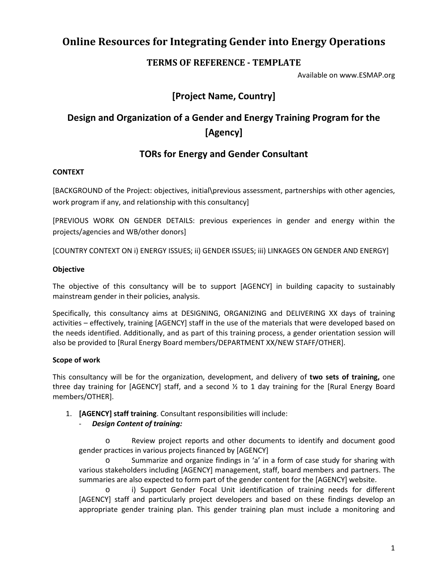# **Online Resources for Integrating Gender into Energy Operations**

## **TERMS OF REFERENCE - TEMPLATE**

Available on www.ESMAP.org

## **[Project Name, Country]**

# **Design and Organization of a Gender and Energy Training Program for the [Agency]**

## **TORs for Energy and Gender Consultant**

### **CONTEXT**

[BACKGROUND of the Project: objectives, initial\previous assessment, partnerships with other agencies, work program if any, and relationship with this consultancy]

[PREVIOUS WORK ON GENDER DETAILS: previous experiences in gender and energy within the projects/agencies and WB/other donors]

[COUNTRY CONTEXT ON i) ENERGY ISSUES; ii) GENDER ISSUES; iii) LINKAGES ON GENDER AND ENERGY]

### **Objective**

The objective of this consultancy will be to support [AGENCY] in building capacity to sustainably mainstream gender in their policies, analysis.

Specifically, this consultancy aims at DESIGNING, ORGANIZING and DELIVERING XX days of training activities – effectively, training [AGENCY] staff in the use of the materials that were developed based on the needs identified. Additionally, and as part of this training process, a gender orientation session will also be provided to [Rural Energy Board members/DEPARTMENT XX/NEW STAFF/OTHER].

### **Scope of work**

This consultancy will be for the organization, development, and delivery of **two sets of training,** one three day training for [AGENCY] staff, and a second  $\frac{1}{2}$  to 1 day training for the [Rural Energy Board members/OTHER].

1. **[AGENCY] staff training**. Consultant responsibilities will include:

### - *Design Content of training:*

o Review project reports and other documents to identify and document good gender practices in various projects financed by [AGENCY]

Summarize and organize findings in 'a' in a form of case study for sharing with various stakeholders including [AGENCY] management, staff, board members and partners. The summaries are also expected to form part of the gender content for the [AGENCY] website.

i) Support Gender Focal Unit identification of training needs for different [AGENCY] staff and particularly project developers and based on these findings develop an appropriate gender training plan. This gender training plan must include a monitoring and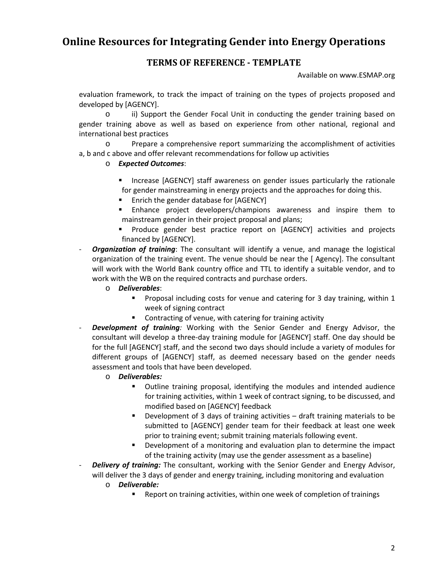# **Online Resources for Integrating Gender into Energy Operations**

## **TERMS OF REFERENCE - TEMPLATE**

Available on www.ESMAP.org

evaluation framework, to track the impact of training on the types of projects proposed and developed by [AGENCY].

o ii) Support the Gender Focal Unit in conducting the gender training based on gender training above as well as based on experience from other national, regional and international best practices

o Prepare a comprehensive report summarizing the accomplishment of activities a, b and c above and offer relevant recommendations for follow up activities

### o *Expected Outcomes*:

- Increase [AGENCY] staff awareness on gender issues particularly the rationale for gender mainstreaming in energy projects and the approaches for doing this.
- **Enrich the gender database for [AGENCY]**
- Enhance project developers/champions awareness and inspire them to mainstream gender in their project proposal and plans;
- **Produce gender best practice report on [AGENCY] activities and projects** financed by [AGENCY].
- **Organization of training**: The consultant will identify a venue, and manage the logistical organization of the training event. The venue should be near the [ Agency]. The consultant will work with the World Bank country office and TTL to identify a suitable vendor, and to work with the WB on the required contracts and purchase orders.
	- o *Deliverables*:
		- **Proposal including costs for venue and catering for 3 day training, within 1** week of signing contract
		- **Contracting of venue, with catering for training activity**
- *Development of training:* Working with the Senior Gender and Energy Advisor, the consultant will develop a three-day training module for [AGENCY] staff. One day should be for the full [AGENCY] staff, and the second two days should include a variety of modules for different groups of [AGENCY] staff, as deemed necessary based on the gender needs assessment and tools that have been developed.
	- o *Deliverables:*
		- Outline training proposal, identifying the modules and intended audience for training activities, within 1 week of contract signing, to be discussed, and modified based on [AGENCY] feedback
		- Development of 3 days of training activities draft training materials to be submitted to [AGENCY] gender team for their feedback at least one week prior to training event; submit training materials following event.
		- **•** Development of a monitoring and evaluation plan to determine the impact of the training activity (may use the gender assessment as a baseline)
- **Delivery of training:** The consultant, working with the Senior Gender and Energy Advisor, will deliver the 3 days of gender and energy training, including monitoring and evaluation
	- o *Deliverable:*
		- Report on training activities, within one week of completion of trainings